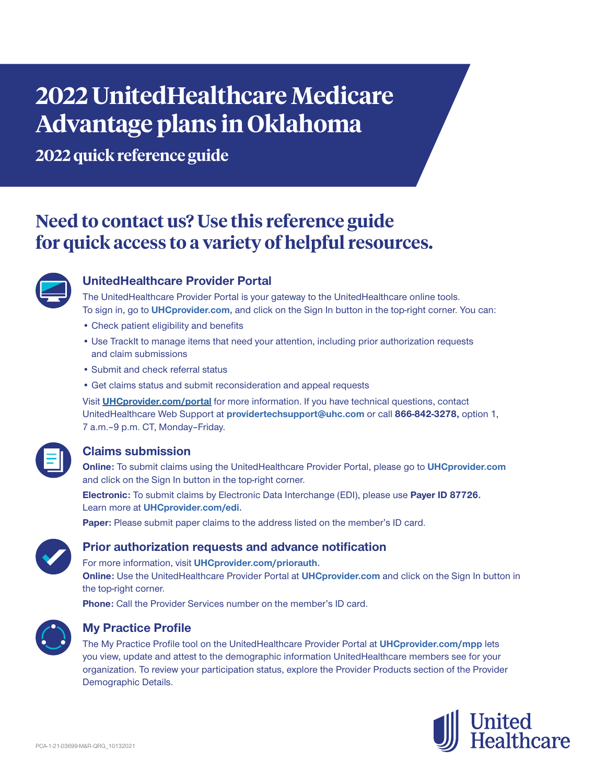# **2022 UnitedHealthcare Medicare Advantage plans in Oklahoma**

**2022 quick reference guide**

# **Need to contact us? Use this reference guide for quick access to a variety of helpful resources.**



# **UnitedHealthcare Provider Portal**

The UnitedHealthcare Provider Portal is your gateway to the UnitedHealthcare online tools. To sign in, go to **UHCprovider.com,** and click on the Sign In button in the top-right corner. You can:

- Check patient eligibility and benefits
- Use TrackIt to manage items that need your attention, including prior authorization requests and claim submissions
- Submit and check referral status
- Get claims status and submit reconsideration and appeal requests

Visit **UHCprovider.com/portal** for more information. If you have technical questions, contact UnitedHealthcare Web Support at **providertechsupport@uhc.com** or call **866-842-3278,** option 1, 7 a.m. - 9 p.m. CT, Monday - Friday.

# **Claims submission**

**Online:** To submit claims using the UnitedHealthcare Provider Portal, please go to **UHCprovider.com** and click on the Sign In button in the top-right corner.

**Electronic:** To submit claims by Electronic Data Interchange (EDI), please use **Payer ID 87726.** Learn more at **UHCprovider.com/edi.**

**Paper:** Please submit paper claims to the address listed on the member's ID card.



# **Prior authorization requests and advance notification**

For more information, visit **UHCprovider.com/priorauth.**

**Online:** Use the UnitedHealthcare Provider Portal at **UHCprovider.com** and click on the Sign In button in the top-right corner.

**Phone:** Call the Provider Services number on the member's ID card.



# **My Practice Profile**

The My Practice Profile tool on the UnitedHealthcare Provider Portal at **UHCprovider.com/mpp** lets you view, update and attest to the demographic information UnitedHealthcare members see for your organization. To review your participation status, explore the Provider Products section of the Provider Demographic Details.

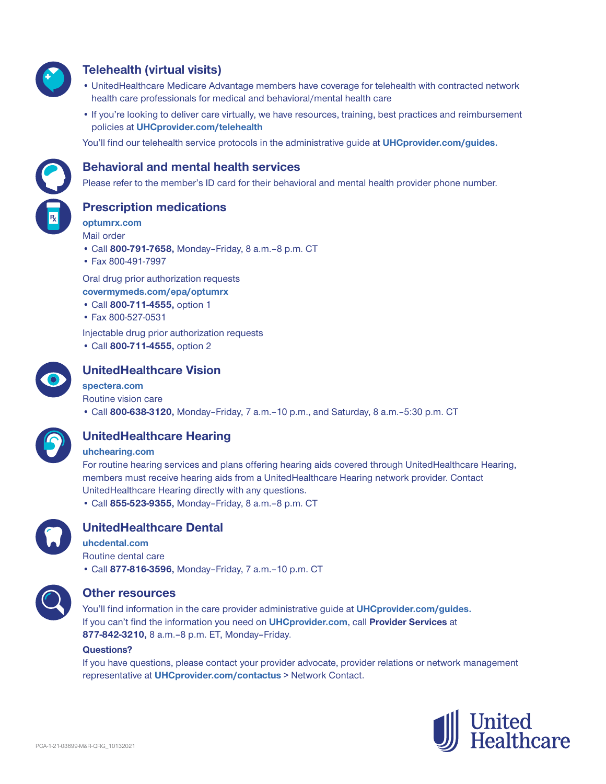

# **Telehealth (virtual visits)**

- UnitedHealthcare Medicare Advantage members have coverage for telehealth with contracted network health care professionals for medical and behavioral/mental health care
- If you're looking to deliver care virtually, we have resources, training, best practices and reimbursement policies at **UHCprovider.com/telehealth**

You'll find our telehealth service protocols in the administrative guide at **UHCprovider.com/guides.**



# **Behavioral and mental health services**

Please refer to the member's ID card for their behavioral and mental health provider phone number.

**Prescription medications**

**optumrx.com** Mail order

- Call **800-791-7658,** Monday–Friday, 8 a.m.‒8 p.m. CT
- Fax 800-491-7997

Oral drug prior authorization requests **covermymeds.com/epa/optumrx**

- Call **800-711-4555,** option 1
- Fax 800-527-0531

Injectable drug prior authorization requests

• Call **800-711-4555,** option 2



# **UnitedHealthcare Vision**

#### **spectera.com**

Routine vision care

• Call **800-638-3120,** Monday–Friday, 7 a.m.–10 p.m., and Saturday, 8 a.m.–5:30 p.m. CT



# **UnitedHealthcare Hearing**

#### **uhchearing.com**

For routine hearing services and plans offering hearing aids covered through UnitedHealthcare Hearing, members must receive hearing aids from a UnitedHealthcare Hearing network provider. Contact UnitedHealthcare Hearing directly with any questions.

• Call **855-523-9355,** Monday–Friday, 8 a.m.–8 p.m. CT



# **UnitedHealthcare Dental**

**uhcdental.com** Routine dental care • Call **877-816-3596,** Monday–Friday, 7 a.m.–10 p.m. CT



### **Other resources**

You'll find information in the care provider administrative guide at **UHCprovider.com/guides.** If you can't find the information you need on **UHCprovider.com**, call **Provider Services** at **877-842-3210,** 8 a.m.–8 p.m. ET, Monday–Friday.

#### **Questions?**

If you have questions, please contact your provider advocate, provider relations or network management representative at **UHCprovider.com/contactus** > Network Contact.

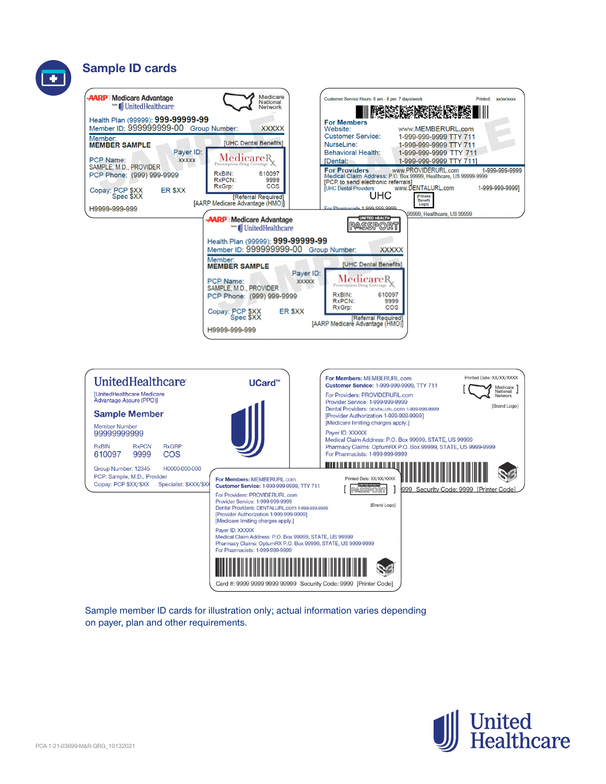# **Sample ID cards**





Sample member ID cards for illustration only; actual information varies depending on payer, plan and other requirements.

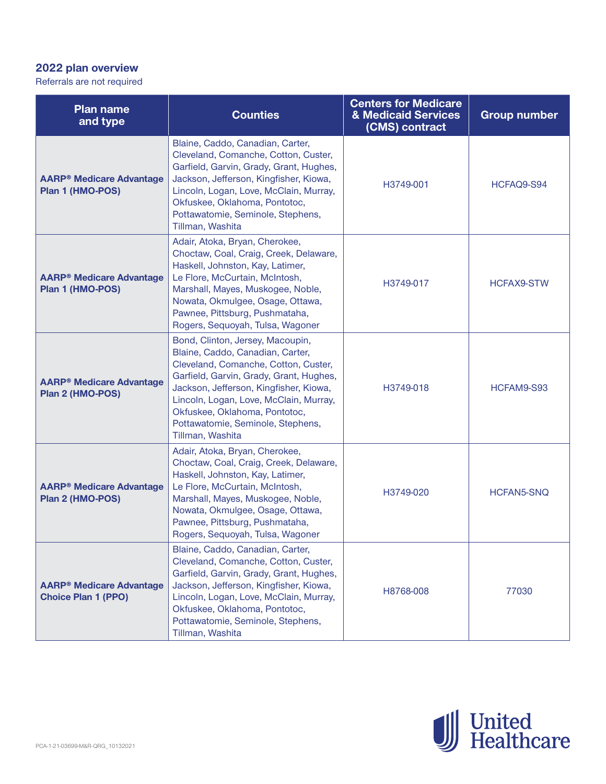# **2022 plan overview**

Referrals are not required

| <b>Plan name</b><br>and type                                             | <b>Counties</b>                                                                                                                                                                                                                                                                                                                       | <b>Centers for Medicare</b><br>& Medicaid Services<br>(CMS) contract | <b>Group number</b> |
|--------------------------------------------------------------------------|---------------------------------------------------------------------------------------------------------------------------------------------------------------------------------------------------------------------------------------------------------------------------------------------------------------------------------------|----------------------------------------------------------------------|---------------------|
| <b>AARP<sup>®</sup> Medicare Advantage</b><br>Plan 1 (HMO-POS)           | Blaine, Caddo, Canadian, Carter,<br>Cleveland, Comanche, Cotton, Custer,<br>Garfield, Garvin, Grady, Grant, Hughes,<br>Jackson, Jefferson, Kingfisher, Kiowa,<br>Lincoln, Logan, Love, McClain, Murray,<br>Okfuskee, Oklahoma, Pontotoc,<br>Pottawatomie, Seminole, Stephens,<br>Tillman, Washita                                     | H3749-001                                                            | HCFAQ9-S94          |
| <b>AARP<sup>®</sup> Medicare Advantage</b><br>Plan 1 (HMO-POS)           | Adair, Atoka, Bryan, Cherokee,<br>Choctaw, Coal, Craig, Creek, Delaware,<br>Haskell, Johnston, Kay, Latimer,<br>Le Flore, McCurtain, McIntosh,<br>Marshall, Mayes, Muskogee, Noble,<br>Nowata, Okmulgee, Osage, Ottawa,<br>Pawnee, Pittsburg, Pushmataha,<br>Rogers, Sequoyah, Tulsa, Wagoner                                         | H3749-017                                                            | <b>HCFAX9-STW</b>   |
| <b>AARP<sup>®</sup> Medicare Advantage</b><br>Plan 2 (HMO-POS)           | Bond, Clinton, Jersey, Macoupin,<br>Blaine, Caddo, Canadian, Carter,<br>Cleveland, Comanche, Cotton, Custer,<br>Garfield, Garvin, Grady, Grant, Hughes,<br>Jackson, Jefferson, Kingfisher, Kiowa,<br>Lincoln, Logan, Love, McClain, Murray,<br>Okfuskee, Oklahoma, Pontotoc,<br>Pottawatomie, Seminole, Stephens,<br>Tillman, Washita | H3749-018                                                            | HCFAM9-S93          |
| <b>AARP<sup>®</sup> Medicare Advantage</b><br>Plan 2 (HMO-POS)           | Adair, Atoka, Bryan, Cherokee,<br>Choctaw, Coal, Craig, Creek, Delaware,<br>Haskell, Johnston, Kay, Latimer,<br>Le Flore, McCurtain, McIntosh,<br>Marshall, Mayes, Muskogee, Noble,<br>Nowata, Okmulgee, Osage, Ottawa,<br>Pawnee, Pittsburg, Pushmataha,<br>Rogers, Sequoyah, Tulsa, Wagoner                                         | H3749-020                                                            | <b>HCFAN5-SNQ</b>   |
| <b>AARP<sup>®</sup> Medicare Advantage</b><br><b>Choice Plan 1 (PPO)</b> | Blaine, Caddo, Canadian, Carter,<br>Cleveland, Comanche, Cotton, Custer,<br>Garfield, Garvin, Grady, Grant, Hughes,<br>Jackson, Jefferson, Kingfisher, Kiowa,<br>Lincoln, Logan, Love, McClain, Murray,<br>Okfuskee, Oklahoma, Pontotoc,<br>Pottawatomie, Seminole, Stephens,<br>Tillman, Washita                                     | H8768-008                                                            | 77030               |